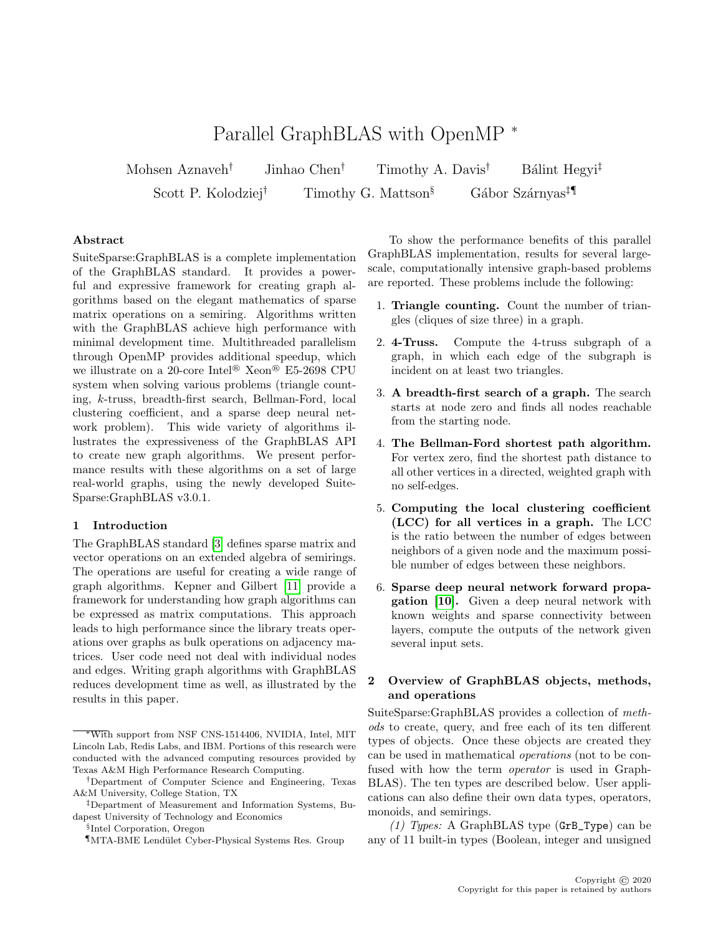# Parallel GraphBLAS with OpenMP <sup>∗</sup>

Mohsen Aznaveh<sup>†</sup> Jinhao Chen<sup>†</sup> Timothy A. Davis<sup>†</sup> Bálint Hegyi<sup>‡</sup> Scott P. Kolodziej<sup>†</sup> Timothy G. Mattson<sup>§</sup> Gábor Szárnyas<sup>‡</sup>

### Abstract

SuiteSparse:GraphBLAS is a complete implementation of the GraphBLAS standard. It provides a powerful and expressive framework for creating graph algorithms based on the elegant mathematics of sparse matrix operations on a semiring. Algorithms written with the GraphBLAS achieve high performance with minimal development time. Multithreaded parallelism through OpenMP provides additional speedup, which we illustrate on a 20-core Intel® Xeon® E5-2698 CPU system when solving various problems (triangle counting, k-truss, breadth-first search, Bellman-Ford, local clustering coefficient, and a sparse deep neural network problem). This wide variety of algorithms illustrates the expressiveness of the GraphBLAS API to create new graph algorithms. We present performance results with these algorithms on a set of large real-world graphs, using the newly developed Suite-Sparse:GraphBLAS v3.0.1.

#### 1 Introduction

The GraphBLAS standard [\[3\]](#page-10-0) defines sparse matrix and vector operations on an extended algebra of semirings. The operations are useful for creating a wide range of graph algorithms. Kepner and Gilbert [\[11\]](#page-10-1) provide a framework for understanding how graph algorithms can be expressed as matrix computations. This approach leads to high performance since the library treats operations over graphs as bulk operations on adjacency matrices. User code need not deal with individual nodes and edges. Writing graph algorithms with GraphBLAS reduces development time as well, as illustrated by the results in this paper.

§ Intel Corporation, Oregon

To show the performance benefits of this parallel GraphBLAS implementation, results for several largescale, computationally intensive graph-based problems are reported. These problems include the following:

- 1. Triangle counting. Count the number of triangles (cliques of size three) in a graph.
- 2. 4-Truss. Compute the 4-truss subgraph of a graph, in which each edge of the subgraph is incident on at least two triangles.
- 3. A breadth-first search of a graph. The search starts at node zero and finds all nodes reachable from the starting node.
- 4. The Bellman-Ford shortest path algorithm. For vertex zero, find the shortest path distance to all other vertices in a directed, weighted graph with no self-edges.
- 5. Computing the local clustering coefficient (LCC) for all vertices in a graph. The LCC is the ratio between the number of edges between neighbors of a given node and the maximum possible number of edges between these neighbors.
- 6. Sparse deep neural network forward propagation [\[10\]](#page-10-2). Given a deep neural network with known weights and sparse connectivity between layers, compute the outputs of the network given several input sets.

## 2 Overview of GraphBLAS objects, methods, and operations

SuiteSparse:GraphBLAS provides a collection of methods to create, query, and free each of its ten different types of objects. Once these objects are created they can be used in mathematical operations (not to be confused with how the term operator is used in Graph-BLAS). The ten types are described below. User applications can also define their own data types, operators, monoids, and semirings.

(1) Types: A GraphBLAS type  $(GrB_Type)$  can be any of 11 built-in types (Boolean, integer and unsigned

<sup>∗</sup>With support from NSF CNS-1514406, NVIDIA, Intel, MIT Lincoln Lab, Redis Labs, and IBM. Portions of this research were conducted with the advanced computing resources provided by Texas A&M High Performance Research Computing.

<sup>†</sup>Department of Computer Science and Engineering, Texas A&M University, College Station, TX

<sup>‡</sup>Department of Measurement and Information Systems, Budapest University of Technology and Economics

 $\P$ MTA-BME Lendület Cyber-Physical Systems Res. Group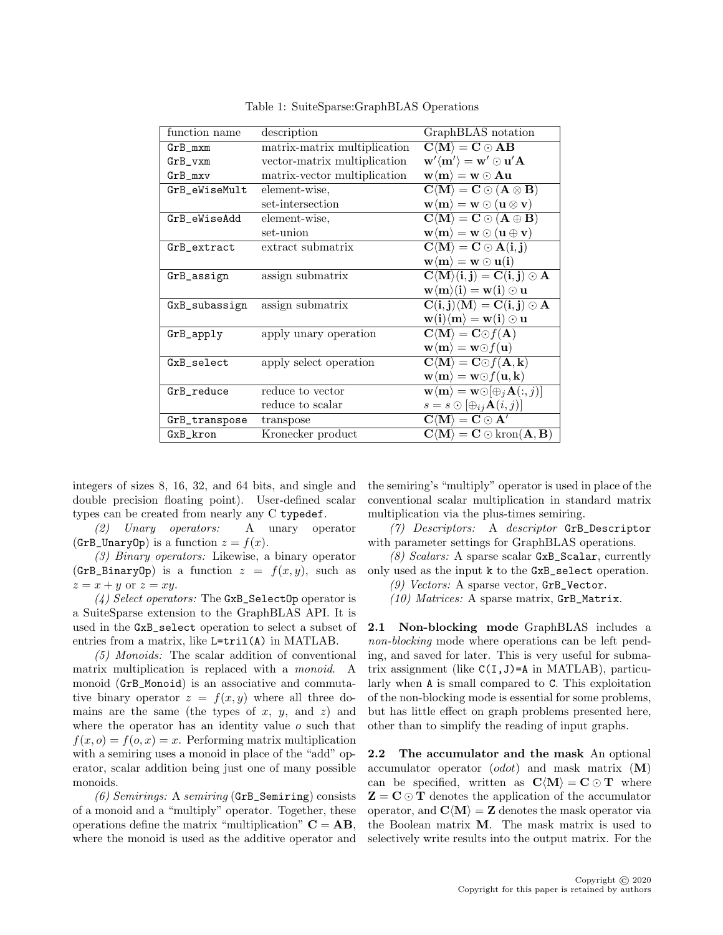| function name | description                  | GraphBLAS notation                                                                                                                       |
|---------------|------------------------------|------------------------------------------------------------------------------------------------------------------------------------------|
| $GrB_mxm$     | matrix-matrix multiplication | $C\langle M\rangle = C \odot AB$                                                                                                         |
| $GrB_vxm$     | vector-matrix multiplication | $\mathbf{w}'\langle \mathbf{m}'\rangle = \mathbf{w}'\odot\mathbf{u}'\mathbf{A}$                                                          |
| $GrB_mxv$     | matrix-vector multiplication | $\mathbf{w}\langle \mathbf{m}\rangle = \mathbf{w}\odot \mathbf{A}\mathbf{u}$                                                             |
| GrB_eWiseMult | element-wise,                | $\mathbf{C}\langle\mathbf{M}\rangle=\mathbf{C}\odot(\mathbf{A}\otimes\mathbf{B})$                                                        |
|               | set-intersection             | $\mathbf{w}\langle\mathbf{m}\rangle = \mathbf{w}\odot(\mathbf{u}\otimes\mathbf{v})$                                                      |
| GrB_eWiseAdd  | element-wise,                | $\mathbf{C}\langle \mathbf{M}\rangle = \mathbf{C}\odot (\mathbf{A}\oplus \mathbf{B})$                                                    |
|               | set-union                    | $\mathbf{w}\langle\mathbf{m}\rangle = \mathbf{w}\odot(\mathbf{u}\oplus\mathbf{v})$                                                       |
| GrB_extract   | extract submatrix            | $\mathbf{C}\langle \mathbf{M} \rangle = \mathbf{C} \odot \mathbf{A}(\mathbf{i}, \mathbf{j})$                                             |
|               |                              | $\mathbf{w}\langle \mathbf{m}\rangle = \mathbf{w}\odot \mathbf{u}(\mathbf{i})$                                                           |
| GrB_assign    | assign submatrix             | $\overline{\mathbf{C}\langle \mathbf{M} \rangle(\mathbf{i},\mathbf{j})} = \overline{\mathbf{C}(\mathbf{i},\mathbf{j}) \odot \mathbf{A}}$ |
|               |                              | $\mathbf{w}\langle\mathbf{m}\rangle(\mathbf{i}) = \mathbf{w}(\mathbf{i}) \odot \mathbf{u}$                                               |
| GxB_subassign | assign submatrix             | $\overline{C(i,j)}\langle M\rangle = C(i,j) \odot A$                                                                                     |
|               |                              | $\mathbf{w}(\mathbf{i})\langle\mathbf{m}\rangle = \mathbf{w}(\mathbf{i})\odot\mathbf{u}$                                                 |
| GrB_apply     | apply unary operation        | $\mathbf{C}\langle \mathbf{M}\rangle = \mathbf{C}\odot f(\mathbf{A})$                                                                    |
|               |                              | $\mathbf{w}\langle \mathbf{m}\rangle = \mathbf{w}\odot f(\mathbf{u})$                                                                    |
| GxB_select    | apply select operation       | $\mathbf{C}\langle\mathbf{M}\rangle=\mathbf{C}\odot f(\mathbf{A},\mathbf{k})$                                                            |
|               |                              | $\mathbf{w}\langle \mathbf{m}\rangle = \mathbf{w}\odot f(\mathbf{u},\mathbf{k})$                                                         |
| GrB_reduce    | reduce to vector             | $\mathbf{w}\langle \mathbf{m}\rangle = \mathbf{w}\odot[\oplus_i \mathbf{A}(:,j)]$                                                        |
|               | reduce to scalar             | $s = s \odot [\bigoplus_{ij} \mathbf{A}(i,j)]$                                                                                           |
| GrB_transpose | transpose                    | $\mathbf{C}\langle\mathbf{M}\rangle=\mathbf{C}\odot\mathbf{A}'$                                                                          |
| GxB_kron      | Kronecker product            | $\mathbf{C}\langle \mathbf{M} \rangle = \mathbf{C} \odot \text{kron}(\mathbf{A}, \mathbf{B})$                                            |

<span id="page-1-0"></span>Table 1: SuiteSparse:GraphBLAS Operations

integers of sizes 8, 16, 32, and 64 bits, and single and double precision floating point). User-defined scalar types can be created from nearly any C typedef.

(2) Unary operators: A unary operator (GrB\_UnaryOp) is a function  $z = f(x)$ .

(3) Binary operators: Likewise, a binary operator  $(GrB_BinaryOp)$  is a function  $z = f(x, y)$ , such as  $z = x + y$  or  $z = xy$ .

 $(4)$  Select operators: The GxB\_SelectOp operator is a SuiteSparse extension to the GraphBLAS API. It is used in the GxB\_select operation to select a subset of entries from a matrix, like L=tril(A) in MATLAB.

(5) Monoids: The scalar addition of conventional matrix multiplication is replaced with a *monoid*. A monoid (GrB\_Monoid) is an associative and commutative binary operator  $z = f(x, y)$  where all three domains are the same (the types of  $x, y,$  and  $z$ ) and where the operator has an identity value o such that  $f(x, o) = f(o, x) = x$ . Performing matrix multiplication with a semiring uses a monoid in place of the "add" operator, scalar addition being just one of many possible monoids.

 $(6)$  Semirings: A semiring (GrB\_Semiring) consists of a monoid and a "multiply" operator. Together, these operations define the matrix "multiplication"  $C = AB$ , where the monoid is used as the additive operator and the semiring's "multiply" operator is used in place of the conventional scalar multiplication in standard matrix multiplication via the plus-times semiring.

 $(7)$  Descriptors: A descriptor GrB\_Descriptor with parameter settings for GraphBLAS operations.

(8) Scalars: A sparse scalar GxB\_Scalar, currently only used as the input k to the GxB\_select operation.

(9) Vectors: A sparse vector,  $GrB_V$ vector.

 $(10)$  Matrices: A sparse matrix, GrB\_Matrix.

2.1 Non-blocking mode GraphBLAS includes a non-blocking mode where operations can be left pending, and saved for later. This is very useful for submatrix assignment (like  $C(I, J) = A$  in MATLAB), particularly when A is small compared to C. This exploitation of the non-blocking mode is essential for some problems, but has little effect on graph problems presented here, other than to simplify the reading of input graphs.

2.2 The accumulator and the mask An optional accumulator operator  $(odot)$  and mask matrix  $(M)$ can be specified, written as  $\mathbf{C}\langle \mathbf{M}\rangle = \mathbf{C}\odot\mathbf{T}$  where  $Z = C \odot T$  denotes the application of the accumulator operator, and  $\mathbf{C}\langle \mathbf{M}\rangle = \mathbf{Z}$  denotes the mask operator via the Boolean matrix M. The mask matrix is used to selectively write results into the output matrix. For the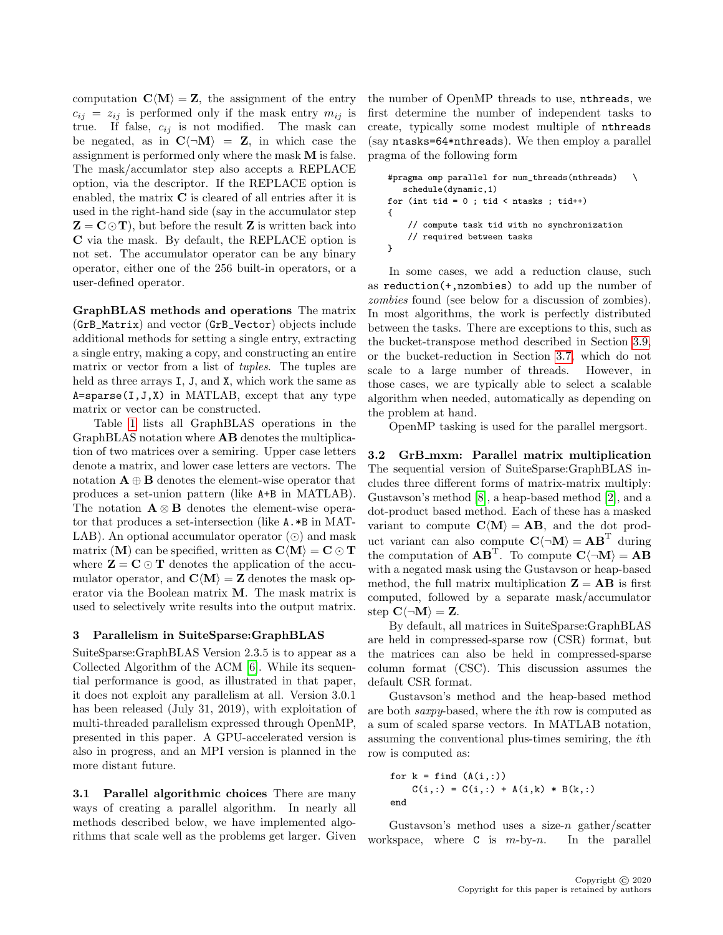computation  $\mathbf{C}\langle \mathbf{M} \rangle = \mathbf{Z}$ , the assignment of the entry  $c_{ij} = z_{ij}$  is performed only if the mask entry  $m_{ij}$  is true. If false,  $c_{ij}$  is not modified. The mask can be negated, as in  $C\langle \neg M \rangle = Z$ , in which case the assignment is performed only where the mask M is false. The mask/accumlator step also accepts a REPLACE option, via the descriptor. If the REPLACE option is enabled, the matrix C is cleared of all entries after it is used in the right-hand side (say in the accumulator step  $Z = C \odot T$ , but before the result Z is written back into C via the mask. By default, the REPLACE option is not set. The accumulator operator can be any binary operator, either one of the 256 built-in operators, or a user-defined operator.

GraphBLAS methods and operations The matrix (GrB\_Matrix) and vector (GrB\_Vector) objects include additional methods for setting a single entry, extracting a single entry, making a copy, and constructing an entire matrix or vector from a list of tuples. The tuples are held as three arrays I, J, and X, which work the same as  $A = sparse(I, J, X)$  in MATLAB, except that any type matrix or vector can be constructed.

Table [1](#page-1-0) lists all GraphBLAS operations in the GraphBLAS notation where AB denotes the multiplication of two matrices over a semiring. Upper case letters denote a matrix, and lower case letters are vectors. The notation  $A \oplus B$  denotes the element-wise operator that produces a set-union pattern (like A+B in MATLAB). The notation  $\mathbf{A} \otimes \mathbf{B}$  denotes the element-wise operator that produces a set-intersection (like A.\*B in MAT-LAB). An optional accumulator operator  $\circled{\rm o}$  and mask matrix (M) can be specified, written as  $\mathbf{C}\langle \mathbf{M}\rangle = \mathbf{C}\odot\mathbf{T}$ where  $\mathbf{Z} = \mathbf{C} \odot \mathbf{T}$  denotes the application of the accumulator operator, and  $\mathbf{C}\langle \mathbf{M}\rangle = \mathbf{Z}$  denotes the mask operator via the Boolean matrix M. The mask matrix is used to selectively write results into the output matrix.

#### <span id="page-2-0"></span>3 Parallelism in SuiteSparse:GraphBLAS

SuiteSparse:GraphBLAS Version 2.3.5 is to appear as a Collected Algorithm of the ACM [\[6\]](#page-10-3). While its sequential performance is good, as illustrated in that paper, it does not exploit any parallelism at all. Version 3.0.1 has been released (July 31, 2019), with exploitation of multi-threaded parallelism expressed through OpenMP, presented in this paper. A GPU-accelerated version is also in progress, and an MPI version is planned in the more distant future.

3.1 Parallel algorithmic choices There are many ways of creating a parallel algorithm. In nearly all methods described below, we have implemented algorithms that scale well as the problems get larger. Given the number of OpenMP threads to use, nthreads, we first determine the number of independent tasks to create, typically some modest multiple of nthreads (say ntasks=64\*nthreads). We then employ a parallel pragma of the following form

```
#pragma omp parallel for num_threads(nthreads) \
  schedule(dynamic,1)
for (int tid = 0; tid < ntasks; tid++)
{
   // compute task tid with no synchronization
   // required between tasks
}
```
In some cases, we add a reduction clause, such as reduction(+,nzombies) to add up the number of zombies found (see below for a discussion of zombies). In most algorithms, the work is perfectly distributed between the tasks. There are exceptions to this, such as the bucket-transpose method described in Section [3.9,](#page-6-0) or the bucket-reduction in Section [3.7,](#page-5-0) which do not scale to a large number of threads. However, in those cases, we are typically able to select a scalable algorithm when needed, automatically as depending on the problem at hand.

OpenMP tasking is used for the parallel mergsort.

3.2 GrB\_mxm: Parallel matrix multiplication The sequential version of SuiteSparse:GraphBLAS includes three different forms of matrix-matrix multiply: Gustavson's method [\[8\]](#page-10-4), a heap-based method [\[2\]](#page-10-5), and a dot-product based method. Each of these has a masked variant to compute  $\mathbf{C}\langle \mathbf{M}\rangle = \mathbf{A}\mathbf{B}$ , and the dot product variant can also compute  $C(\neg M) = AB^T$  during the computation of  $\mathbf{A}\mathbf{B}^{\mathrm{T}}$ . To compute  $\mathbf{C}\langle\neg \mathbf{M}\rangle = \mathbf{A}\mathbf{B}$ with a negated mask using the Gustavson or heap-based method, the full matrix multiplication  $\mathbf{Z} = \mathbf{AB}$  is first computed, followed by a separate mask/accumulator step  $C(\neg M) = Z$ .

By default, all matrices in SuiteSparse:GraphBLAS are held in compressed-sparse row (CSR) format, but the matrices can also be held in compressed-sparse column format (CSC). This discussion assumes the default CSR format.

Gustavson's method and the heap-based method are both saxpy-based, where the ith row is computed as a sum of scaled sparse vectors. In MATLAB notation, assuming the conventional plus-times semiring, the ith row is computed as:

for k = find (A(i,:)) C(i,:) = C(i,:) + A(i,k) \* B(k,:) end

Gustavson's method uses a size- $n$  gather/scatter workspace, where  $C$  is  $m$ -by- $n$ . In the parallel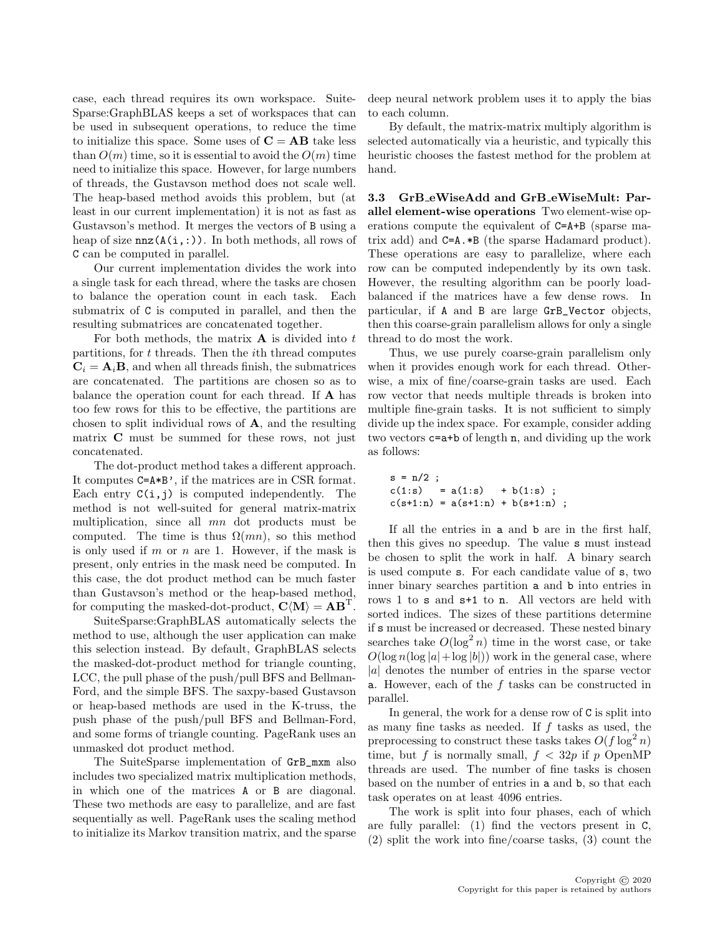case, each thread requires its own workspace. Suite-Sparse:GraphBLAS keeps a set of workspaces that can be used in subsequent operations, to reduce the time to initialize this space. Some uses of  $C = AB$  take less than  $O(m)$  time, so it is essential to avoid the  $O(m)$  time need to initialize this space. However, for large numbers of threads, the Gustavson method does not scale well. The heap-based method avoids this problem, but (at least in our current implementation) it is not as fast as Gustavson's method. It merges the vectors of B using a heap of size  $nnz(A(i,:))$ . In both methods, all rows of C can be computed in parallel.

Our current implementation divides the work into a single task for each thread, where the tasks are chosen to balance the operation count in each task. Each submatrix of C is computed in parallel, and then the resulting submatrices are concatenated together.

For both methods, the matrix  $\bf{A}$  is divided into t partitions, for  $t$  threads. Then the  $i$ <sup>th</sup> thread computes  $C_i = A_i B$ , and when all threads finish, the submatrices are concatenated. The partitions are chosen so as to balance the operation count for each thread. If A has too few rows for this to be effective, the partitions are chosen to split individual rows of A, and the resulting matrix C must be summed for these rows, not just concatenated.

The dot-product method takes a different approach. It computes C=A\*B', if the matrices are in CSR format. Each entry  $C(i, j)$  is computed independently. The method is not well-suited for general matrix-matrix multiplication, since all mn dot products must be computed. The time is thus  $\Omega(mn)$ , so this method is only used if  $m$  or  $n$  are 1. However, if the mask is present, only entries in the mask need be computed. In this case, the dot product method can be much faster than Gustavson's method or the heap-based method, for computing the masked-dot-product,  $\mathbf{C} \langle \mathbf{M} \rangle = \mathbf{A} \mathbf{B}^{\mathrm{T}}$ .

SuiteSparse:GraphBLAS automatically selects the method to use, although the user application can make this selection instead. By default, GraphBLAS selects the masked-dot-product method for triangle counting, LCC, the pull phase of the push/pull BFS and Bellman-Ford, and the simple BFS. The saxpy-based Gustavson or heap-based methods are used in the K-truss, the push phase of the push/pull BFS and Bellman-Ford, and some forms of triangle counting. PageRank uses an unmasked dot product method.

The SuiteSparse implementation of GrB\_mxm also includes two specialized matrix multiplication methods, in which one of the matrices A or B are diagonal. These two methods are easy to parallelize, and are fast sequentially as well. PageRank uses the scaling method to initialize its Markov transition matrix, and the sparse deep neural network problem uses it to apply the bias to each column.

By default, the matrix-matrix multiply algorithm is selected automatically via a heuristic, and typically this heuristic chooses the fastest method for the problem at hand.

3.3 GrB eWiseAdd and GrB eWiseMult: Parallel element-wise operations Two element-wise operations compute the equivalent of C=A+B (sparse matrix add) and C=A.\*B (the sparse Hadamard product). These operations are easy to parallelize, where each row can be computed independently by its own task. However, the resulting algorithm can be poorly loadbalanced if the matrices have a few dense rows. In particular, if A and B are large GrB\_Vector objects, then this coarse-grain parallelism allows for only a single thread to do most the work.

Thus, we use purely coarse-grain parallelism only when it provides enough work for each thread. Otherwise, a mix of fine/coarse-grain tasks are used. Each row vector that needs multiple threads is broken into multiple fine-grain tasks. It is not sufficient to simply divide up the index space. For example, consider adding two vectors c=a+b of length n, and dividing up the work as follows:

$$
s = n/2 ;c(1:s) = a(1:s) + b(1:s) ;c(s+1:n) = a(s+1:n) + b(s+1:n) ;
$$

If all the entries in a and b are in the first half, then this gives no speedup. The value s must instead be chosen to split the work in half. A binary search is used compute s. For each candidate value of s, two inner binary searches partition a and b into entries in rows 1 to s and s+1 to n. All vectors are held with sorted indices. The sizes of these partitions determine if s must be increased or decreased. These nested binary searches take  $O(\log^2 n)$  time in the worst case, or take  $O(\log n(\log |a| + \log |b|))$  work in the general case, where  $|a|$  denotes the number of entries in the sparse vector a. However, each of the  $f$  tasks can be constructed in parallel.

In general, the work for a dense row of C is split into as many fine tasks as needed. If  $f$  tasks as used, the preprocessing to construct these tasks takes  $O(f \log^2 n)$ time, but f is normally small,  $f < 32p$  if p OpenMP threads are used. The number of fine tasks is chosen based on the number of entries in a and b, so that each task operates on at least 4096 entries.

The work is split into four phases, each of which are fully parallel: (1) find the vectors present in C, (2) split the work into fine/coarse tasks, (3) count the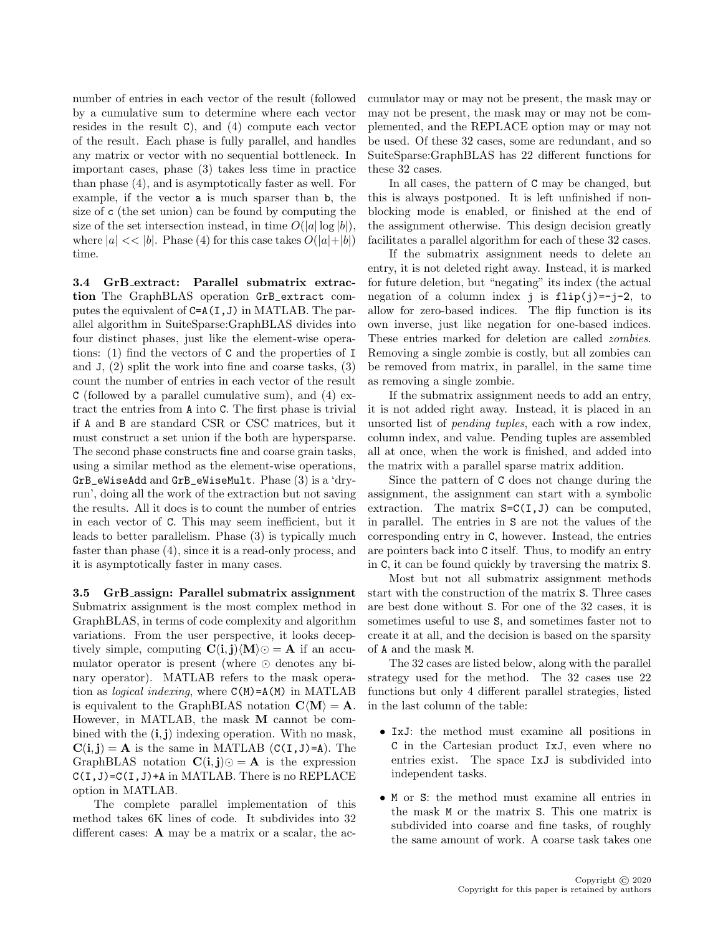number of entries in each vector of the result (followed by a cumulative sum to determine where each vector resides in the result C), and (4) compute each vector of the result. Each phase is fully parallel, and handles any matrix or vector with no sequential bottleneck. In important cases, phase (3) takes less time in practice than phase (4), and is asymptotically faster as well. For example, if the vector a is much sparser than b, the size of c (the set union) can be found by computing the size of the set intersection instead, in time  $O(|a| \log |b|)$ , where  $|a| \ll |b|$ . Phase (4) for this case takes  $O(|a|+|b|)$ time.

3.4 GrB extract: Parallel submatrix extraction The GraphBLAS operation GrB\_extract computes the equivalent of C=A(I,J) in MATLAB. The parallel algorithm in SuiteSparse:GraphBLAS divides into four distinct phases, just like the element-wise operations: (1) find the vectors of C and the properties of I and J, (2) split the work into fine and coarse tasks, (3) count the number of entries in each vector of the result C (followed by a parallel cumulative sum), and (4) extract the entries from A into C. The first phase is trivial if A and B are standard CSR or CSC matrices, but it must construct a set union if the both are hypersparse. The second phase constructs fine and coarse grain tasks, using a similar method as the element-wise operations, GrB\_eWiseAdd and GrB\_eWiseMult. Phase (3) is a 'dryrun', doing all the work of the extraction but not saving the results. All it does is to count the number of entries in each vector of C. This may seem inefficient, but it leads to better parallelism. Phase (3) is typically much faster than phase (4), since it is a read-only process, and it is asymptotically faster in many cases.

3.5 GrB assign: Parallel submatrix assignment Submatrix assignment is the most complex method in GraphBLAS, in terms of code complexity and algorithm variations. From the user perspective, it looks deceptively simple, computing  $\mathbf{C(i,j)}\langle \mathbf{M} \rangle \odot = \mathbf{A}$  if an accumulator operator is present (where  $\odot$  denotes any binary operator). MATLAB refers to the mask operation as *logical indexing*, where  $C(M)=A(M)$  in MATLAB is equivalent to the GraphBLAS notation  $\mathbf{C}\langle \mathbf{M}\rangle = \mathbf{A}$ . However, in MATLAB, the mask M cannot be combined with the  $(i, j)$  indexing operation. With no mask,  $C(i, j) = A$  is the same in MATLAB  $(C(I, J)=A)$ . The GraphBLAS notation  $C(i, j)$  $\odot = A$  is the expression  $C(I, J) = C(I, J) + A$  in MATLAB. There is no REPLACE option in MATLAB.

The complete parallel implementation of this method takes 6K lines of code. It subdivides into 32 different cases: **A** may be a matrix or a scalar, the accumulator may or may not be present, the mask may or may not be present, the mask may or may not be complemented, and the REPLACE option may or may not be used. Of these 32 cases, some are redundant, and so SuiteSparse:GraphBLAS has 22 different functions for these 32 cases.

In all cases, the pattern of  $C$  may be changed, but this is always postponed. It is left unfinished if nonblocking mode is enabled, or finished at the end of the assignment otherwise. This design decision greatly facilitates a parallel algorithm for each of these 32 cases.

If the submatrix assignment needs to delete an entry, it is not deleted right away. Instead, it is marked for future deletion, but "negating" its index (the actual negation of a column index j is  $flip(j)=-j-2$ , to allow for zero-based indices. The flip function is its own inverse, just like negation for one-based indices. These entries marked for deletion are called zombies. Removing a single zombie is costly, but all zombies can be removed from matrix, in parallel, in the same time as removing a single zombie.

If the submatrix assignment needs to add an entry, it is not added right away. Instead, it is placed in an unsorted list of pending tuples, each with a row index, column index, and value. Pending tuples are assembled all at once, when the work is finished, and added into the matrix with a parallel sparse matrix addition.

Since the pattern of C does not change during the assignment, the assignment can start with a symbolic extraction. The matrix  $S = C(I, J)$  can be computed, in parallel. The entries in S are not the values of the corresponding entry in C, however. Instead, the entries are pointers back into C itself. Thus, to modify an entry in C, it can be found quickly by traversing the matrix S.

Most but not all submatrix assignment methods start with the construction of the matrix S. Three cases are best done without S. For one of the 32 cases, it is sometimes useful to use S, and sometimes faster not to create it at all, and the decision is based on the sparsity of A and the mask M.

The 32 cases are listed below, along with the parallel strategy used for the method. The 32 cases use 22 functions but only 4 different parallel strategies, listed in the last column of the table:

- IxJ: the method must examine all positions in C in the Cartesian product IxJ, even where no entries exist. The space IxJ is subdivided into independent tasks.
- M or S: the method must examine all entries in the mask M or the matrix S. This one matrix is subdivided into coarse and fine tasks, of roughly the same amount of work. A coarse task takes one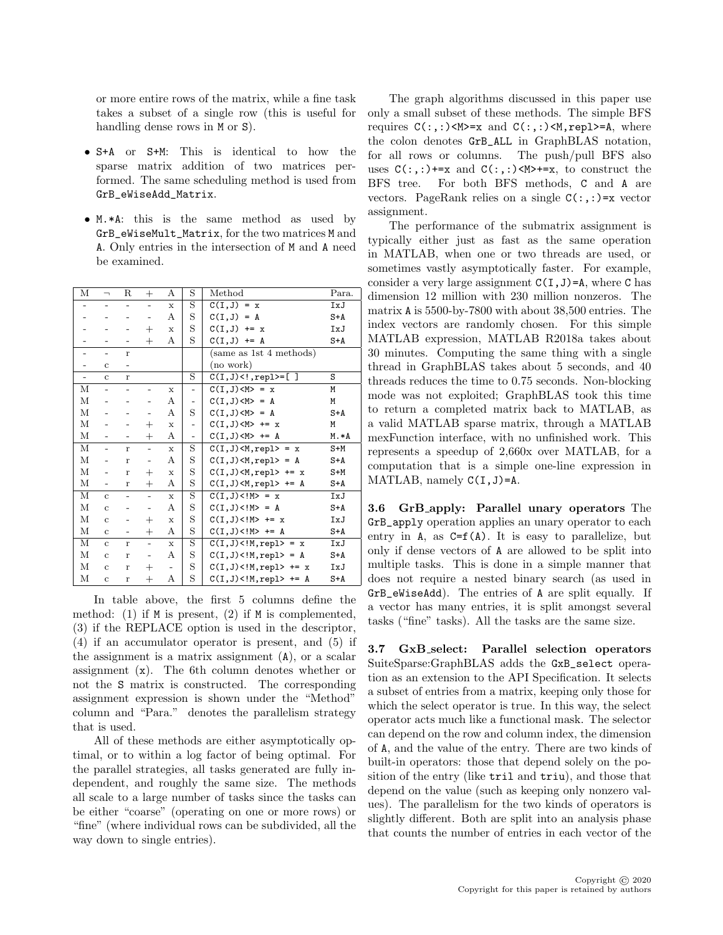or more entire rows of the matrix, while a fine task takes a subset of a single row (this is useful for handling dense rows in M or S).

- S+A or S+M: This is identical to how the sparse matrix addition of two matrices performed. The same scheduling method is used from GrB\_eWiseAdd\_Matrix.
- M.\*A: this is the same method as used by GrB\_eWiseMult\_Matrix, for the two matrices M and A. Only entries in the intersection of M and A need be examined.

| М                        | $\overline{\phantom{a}}$ | R                        | $^{+}$                   | А                 | S                        | Method                   | Para. |
|--------------------------|--------------------------|--------------------------|--------------------------|-------------------|--------------------------|--------------------------|-------|
|                          |                          |                          |                          |                   |                          |                          |       |
|                          | $\overline{a}$           |                          | $\overline{\phantom{0}}$ | $\mathbf x$       | S                        | $C(I,J) = x$             | IxJ   |
|                          |                          |                          |                          | А                 | S                        | $C(I,J) = A$             | $S+A$ |
|                          |                          |                          | $^{+}$                   | $\mathbf x$       | S                        | $C(I,J)$ += x            | IxJ   |
|                          |                          |                          | $^{+}$                   | А                 | S                        | $C(I,J)$ += A            | $S+A$ |
|                          | $\overline{a}$           | $\mathbf{r}$             |                          |                   |                          | (same as 1st 4 methods)  |       |
|                          | $\mathbf c$              | $\overline{a}$           |                          |                   |                          | (no work)                |       |
| $\overline{\phantom{a}}$ | $\mathbf{c}$             | $\bf r$                  |                          |                   | S                        | $C(I,J) < !$ , repl>=[]  | S     |
| М                        | $\overline{a}$           |                          |                          | X                 | $\overline{a}$           | $C(I,J) = x$             | M     |
| М                        |                          |                          |                          | А                 |                          | $C(I,J) = A$             | M     |
| М                        | $\overline{a}$           |                          |                          | А                 | S                        | $C(I,J) = A$             | $S+A$ |
| М                        |                          |                          | $^{+}$                   | $\mathbf x$       | $\overline{\phantom{0}}$ | $C(I,J)+=x$              | M     |
| М                        | $\overline{\phantom{0}}$ |                          | $^{+}$                   | А                 | $\overline{a}$           | $C(I,J)+= A$             | M.*A  |
| М                        | $\overline{\phantom{0}}$ | r                        | $\overline{a}$           | $\mathbf x$       | S                        | $C(I,J) = x$             | $S+M$ |
| М                        | $\overline{\phantom{0}}$ | $\mathbf{r}$             | -                        | А                 | S                        | $C(I,J), repl> = A$      | S+A   |
| М                        | $\overline{a}$           | r                        | $^{+}$                   | $\mathbf x$       | S                        | $C(I,J), repl> += x$     | S+M   |
| М                        | $\overline{\phantom{a}}$ | r                        | $^{+}$                   | А                 | S                        | $C(I,J) < M, repl> += A$ | S+A   |
| М                        | $\mathbf{c}$             | $\overline{\phantom{0}}$ | $\overline{\phantom{a}}$ | $\mathbf x$       | S                        | $C(I,J)<!M>=x$           | IxJ   |
| М                        | $\mathbf{c}$             |                          |                          | А                 | S                        | $C(I,J) = A$             | $S+A$ |
| $\mathbf M$              | $\mathbf c$              |                          | $^{+}$                   | $\mathbf x$       | S                        | $C(I,J) += x$            | IxJ   |
| $\mathbf M$              | $\mathbf{c}$             | $\overline{\phantom{a}}$ | $^{+}$                   | А                 | S                        | $C(I,J) += A$            | $S+A$ |
| М                        | $\overline{c}$           | $\mathbf{r}$             | $\overline{a}$           | $\mathbf{x}$      | S                        | $C(I,J), repl> = x$      | IxJ   |
| М                        | $\mathbf c$              | $\mathbf r$              | $\overline{\phantom{0}}$ | А                 | S                        | $C(I,J), repl> = A$      | S+A   |
| М                        | $\mathbf c$              | $\mathbf r$              | $^{+}$                   | $\qquad \qquad -$ | S                        | $C(I,J), repl> += x$     | IxJ   |
| М                        | $\mathbf c$              | $\bf r$                  | $^{+}$                   | А                 | S                        | $C(I,J), repl> += A$     | S+A   |

In table above, the first 5 columns define the method: (1) if  $M$  is present, (2) if  $M$  is complemented, (3) if the REPLACE option is used in the descriptor, (4) if an accumulator operator is present, and (5) if the assignment is a matrix assignment (A), or a scalar assignment (x). The 6th column denotes whether or not the S matrix is constructed. The corresponding assignment expression is shown under the "Method" column and "Para." denotes the parallelism strategy that is used.

All of these methods are either asymptotically optimal, or to within a log factor of being optimal. For the parallel strategies, all tasks generated are fully independent, and roughly the same size. The methods all scale to a large number of tasks since the tasks can be either "coarse" (operating on one or more rows) or "fine" (where individual rows can be subdivided, all the way down to single entries).

The graph algorithms discussed in this paper use only a small subset of these methods. The simple BFS requires  $C(:,:)$  <M>=x and  $C(:,:)$  <M, repl>=A, where the colon denotes GrB\_ALL in GraphBLAS notation, for all rows or columns. The push/pull BFS also uses  $C(:,:)$ +=x and  $C(:,:)$ <M>+=x, to construct the BFS tree. For both BFS methods, C and A are vectors. PageRank relies on a single  $C(:,:) = x$  vector assignment.

The performance of the submatrix assignment is typically either just as fast as the same operation in MATLAB, when one or two threads are used, or sometimes vastly asymptotically faster. For example, consider a very large assignment  $C(I, J) = A$ , where C has dimension 12 million with 230 million nonzeros. The matrix A is 5500-by-7800 with about 38,500 entries. The index vectors are randomly chosen. For this simple MATLAB expression, MATLAB R2018a takes about 30 minutes. Computing the same thing with a single thread in GraphBLAS takes about 5 seconds, and 40 threads reduces the time to 0.75 seconds. Non-blocking mode was not exploited; GraphBLAS took this time to return a completed matrix back to MATLAB, as a valid MATLAB sparse matrix, through a MATLAB mexFunction interface, with no unfinished work. This represents a speedup of 2,660x over MATLAB, for a computation that is a simple one-line expression in MATLAB, namely  $C(I, J) = A$ .

3.6 GrB apply: Parallel unary operators The GrB\_apply operation applies an unary operator to each entry in A, as  $C=f(A)$ . It is easy to parallelize, but only if dense vectors of A are allowed to be split into multiple tasks. This is done in a simple manner that does not require a nested binary search (as used in GrB\_eWiseAdd). The entries of A are split equally. If a vector has many entries, it is split amongst several tasks ("fine" tasks). All the tasks are the same size.

<span id="page-5-0"></span>3.7 GxB select: Parallel selection operators SuiteSparse:GraphBLAS adds the GxB\_select operation as an extension to the API Specification. It selects a subset of entries from a matrix, keeping only those for which the select operator is true. In this way, the select operator acts much like a functional mask. The selector can depend on the row and column index, the dimension of A, and the value of the entry. There are two kinds of built-in operators: those that depend solely on the position of the entry (like tril and triu), and those that depend on the value (such as keeping only nonzero values). The parallelism for the two kinds of operators is slightly different. Both are split into an analysis phase that counts the number of entries in each vector of the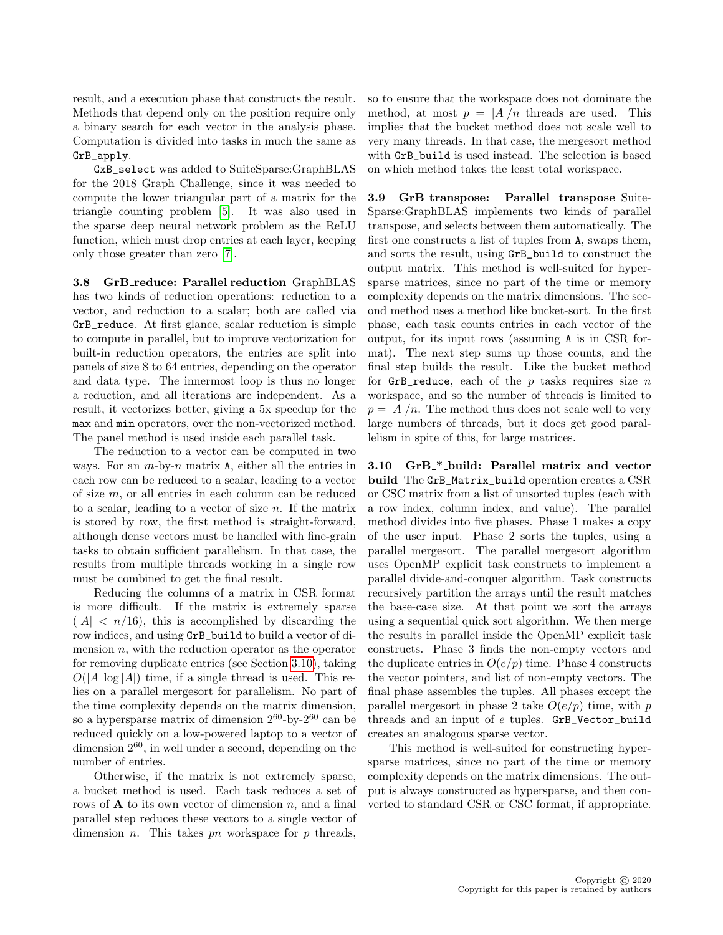result, and a execution phase that constructs the result. Methods that depend only on the position require only a binary search for each vector in the analysis phase. Computation is divided into tasks in much the same as GrB\_apply.

GxB\_select was added to SuiteSparse:GraphBLAS for the 2018 Graph Challenge, since it was needed to compute the lower triangular part of a matrix for the triangle counting problem [\[5\]](#page-10-6). It was also used in the sparse deep neural network problem as the ReLU function, which must drop entries at each layer, keeping only those greater than zero [\[7\]](#page-10-7).

**3.8 GrB\_reduce: Parallel reduction GraphBLAS** has two kinds of reduction operations: reduction to a vector, and reduction to a scalar; both are called via GrB\_reduce. At first glance, scalar reduction is simple to compute in parallel, but to improve vectorization for built-in reduction operators, the entries are split into panels of size 8 to 64 entries, depending on the operator and data type. The innermost loop is thus no longer a reduction, and all iterations are independent. As a result, it vectorizes better, giving a 5x speedup for the max and min operators, over the non-vectorized method. The panel method is used inside each parallel task.

The reduction to a vector can be computed in two ways. For an  $m$ -by- $n$  matrix  $A$ , either all the entries in each row can be reduced to a scalar, leading to a vector of size m, or all entries in each column can be reduced to a scalar, leading to a vector of size  $n$ . If the matrix is stored by row, the first method is straight-forward, although dense vectors must be handled with fine-grain tasks to obtain sufficient parallelism. In that case, the results from multiple threads working in a single row must be combined to get the final result.

Reducing the columns of a matrix in CSR format is more difficult. If the matrix is extremely sparse  $(|A| < n/16)$ , this is accomplished by discarding the row indices, and using GrB\_build to build a vector of dimension  $n$ , with the reduction operator as the operator for removing duplicate entries (see Section [3.10\)](#page-6-1), taking  $O(|A| \log |A|)$  time, if a single thread is used. This relies on a parallel mergesort for parallelism. No part of the time complexity depends on the matrix dimension, so a hypersparse matrix of dimension  $2^{60}$ -by- $2^{60}$  can be reduced quickly on a low-powered laptop to a vector of dimension  $2^{60}$ , in well under a second, depending on the number of entries.

Otherwise, if the matrix is not extremely sparse, a bucket method is used. Each task reduces a set of rows of  $A$  to its own vector of dimension n, and a final parallel step reduces these vectors to a single vector of dimension *n*. This takes *pn* workspace for *p* threads,

so to ensure that the workspace does not dominate the method, at most  $p = |A|/n$  threads are used. This implies that the bucket method does not scale well to very many threads. In that case, the mergesort method with GrB\_build is used instead. The selection is based on which method takes the least total workspace.

<span id="page-6-0"></span>3.9 GrB\_transpose: Parallel transpose Suite-Sparse:GraphBLAS implements two kinds of parallel transpose, and selects between them automatically. The first one constructs a list of tuples from A, swaps them, and sorts the result, using GrB\_build to construct the output matrix. This method is well-suited for hypersparse matrices, since no part of the time or memory complexity depends on the matrix dimensions. The second method uses a method like bucket-sort. In the first phase, each task counts entries in each vector of the output, for its input rows (assuming A is in CSR format). The next step sums up those counts, and the final step builds the result. Like the bucket method for  $GrB_{reduce}$ , each of the p tasks requires size n workspace, and so the number of threads is limited to  $p = |A|/n$ . The method thus does not scale well to very large numbers of threads, but it does get good parallelism in spite of this, for large matrices.

<span id="page-6-1"></span>3.10 GrB\_\*\_build: Parallel matrix and vector build The GrB\_Matrix\_build operation creates a CSR or CSC matrix from a list of unsorted tuples (each with a row index, column index, and value). The parallel method divides into five phases. Phase 1 makes a copy of the user input. Phase 2 sorts the tuples, using a parallel mergesort. The parallel mergesort algorithm uses OpenMP explicit task constructs to implement a parallel divide-and-conquer algorithm. Task constructs recursively partition the arrays until the result matches the base-case size. At that point we sort the arrays using a sequential quick sort algorithm. We then merge the results in parallel inside the OpenMP explicit task constructs. Phase 3 finds the non-empty vectors and the duplicate entries in  $O(e/p)$  time. Phase 4 constructs the vector pointers, and list of non-empty vectors. The final phase assembles the tuples. All phases except the parallel mergesort in phase 2 take  $O(e/p)$  time, with p threads and an input of e tuples. GrB\_Vector\_build creates an analogous sparse vector.

This method is well-suited for constructing hypersparse matrices, since no part of the time or memory complexity depends on the matrix dimensions. The output is always constructed as hypersparse, and then converted to standard CSR or CSC format, if appropriate.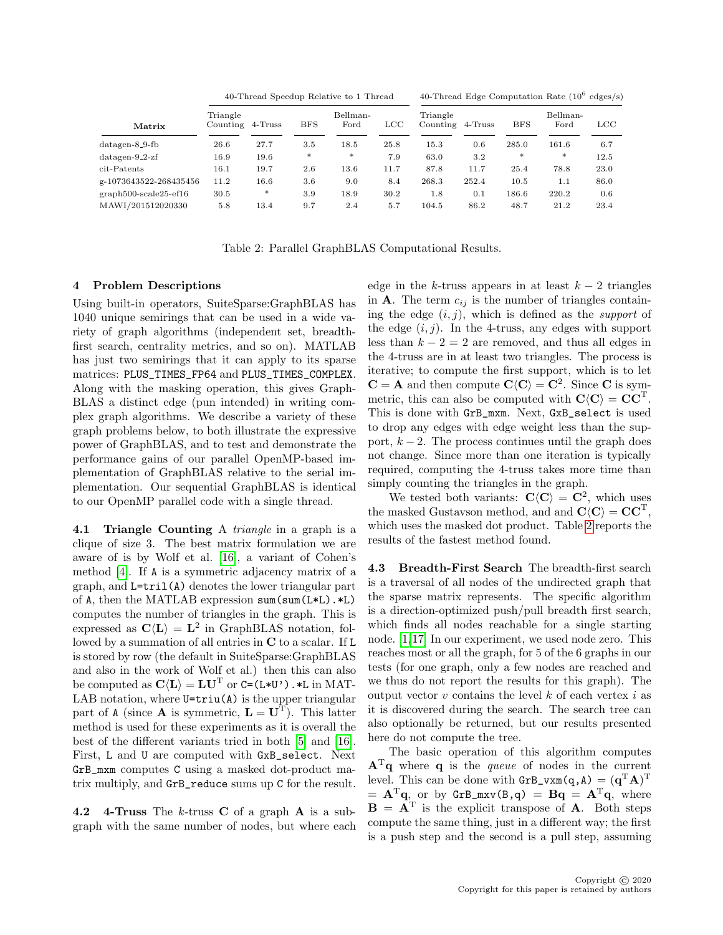40-Thread Speedup Relative to 1 Thread 40-Thread Edge Computation Rate  $(10^6 \text{ edges/s})$ 

| Matrix                                            | Triangle<br>Counting | 4-Truss  | <b>BFS</b> | Bellman-<br>Ford | <b>LCC</b> | Triangle<br>Counting | 4-Truss | <b>BFS</b> | Bellman-<br>Ford | <b>LCC</b> |
|---------------------------------------------------|----------------------|----------|------------|------------------|------------|----------------------|---------|------------|------------------|------------|
| $\mathrm{datagen}\text{-}8\_9\text{-}\mathrm{fb}$ | 26.6                 | 27.7     | 3.5        | 18.5             | 25.8       | 15.3                 | 0.6     | 285.0      | 161.6            | 6.7        |
| $\mathrm{datagen}\text{-}9$ _2-zf                 | 16.9                 | 19.6     | $*$        | $*$              | 7.9        | 63.0                 | 3.2     | $*$        | $*$              | 12.5       |
| cit-Patents                                       | 16.1                 | 19.7     | 2.6        | 13.6             | 11.7       | 87.8                 | 11.7    | 25.4       | 78.8             | 23.0       |
| g-1073643522-268435456                            | 11.2                 | $16.6\,$ | 3.6        | 9.0              | 8.4        | 268.3                | 252.4   | 10.5       | 1.1              | 86.0       |
| graph500-scale25-ef16                             | 30.5                 | *        | 3.9        | 18.9             | 30.2       | 1.8                  | 0.1     | 186.6      | 220.2            | 0.6        |
| MAWI/201512020330                                 | 5.8                  | 13.4     | 9.7        | 2.4              | 5.7        | 104.5                | 86.2    | 48.7       | 21.2             | 23.4       |

<span id="page-7-0"></span>Table 2: Parallel GraphBLAS Computational Results.

#### 4 Problem Descriptions

Using built-in operators, SuiteSparse:GraphBLAS has 1040 unique semirings that can be used in a wide variety of graph algorithms (independent set, breadthfirst search, centrality metrics, and so on). MATLAB has just two semirings that it can apply to its sparse matrices: PLUS\_TIMES\_FP64 and PLUS\_TIMES\_COMPLEX. Along with the masking operation, this gives Graph-BLAS a distinct edge (pun intended) in writing complex graph algorithms. We describe a variety of these graph problems below, to both illustrate the expressive power of GraphBLAS, and to test and demonstrate the performance gains of our parallel OpenMP-based implementation of GraphBLAS relative to the serial implementation. Our sequential GraphBLAS is identical to our OpenMP parallel code with a single thread.

4.1 Triangle Counting A *triangle* in a graph is a clique of size 3. The best matrix formulation we are aware of is by Wolf et al. [\[16\]](#page-10-8), a variant of Cohen's method [\[4\]](#page-10-9). If A is a symmetric adjacency matrix of a graph, and L=tril(A) denotes the lower triangular part of A, then the MATLAB expression sum(sum(L\*L).\*L) computes the number of triangles in the graph. This is expressed as  $\mathbf{C}\langle \mathbf{L} \rangle = \mathbf{L}^2$  in GraphBLAS notation, followed by a summation of all entries in C to a scalar. If L is stored by row (the default in SuiteSparse:GraphBLAS and also in the work of Wolf et al.) then this can also be computed as  $\mathbf{C}\langle\mathbf{L}\rangle = \mathbf{L}\mathbf{U}^T$  or  $\mathsf{C}=\mathsf{(L*U')}$  .  $*\mathsf{L}$  in MAT-LAB notation, where  $U=triu(A)$  is the upper triangular part of A (since **A** is symmetric,  $\mathbf{L} = \mathbf{U}^{\mathrm{T}}$ ). This latter method is used for these experiments as it is overall the best of the different variants tried in both [\[5\]](#page-10-6) and [\[16\]](#page-10-8). First, L and U are computed with GxB\_select. Next GrB\_mxm computes C using a masked dot-product matrix multiply, and GrB\_reduce sums up C for the result.

**4.2** 4-Truss The k-truss C of a graph A is a subgraph with the same number of nodes, but where each

edge in the k-truss appears in at least  $k-2$  triangles in **A**. The term  $c_{ij}$  is the number of triangles containing the edge  $(i, j)$ , which is defined as the *support* of the edge  $(i, j)$ . In the 4-truss, any edges with support less than  $k - 2 = 2$  are removed, and thus all edges in the 4-truss are in at least two triangles. The process is iterative; to compute the first support, which is to let  $C = A$  and then compute  $C\langle C \rangle = C^2$ . Since C is symmetric, this can also be computed with  $\mathbf{C}\langle \mathbf{C} \rangle = \mathbf{C}\mathbf{C}^{\mathrm{T}}$ . This is done with GrB\_mxm. Next, GxB\_select is used to drop any edges with edge weight less than the support,  $k - 2$ . The process continues until the graph does not change. Since more than one iteration is typically required, computing the 4-truss takes more time than simply counting the triangles in the graph.

We tested both variants:  $\mathbf{C}\langle \mathbf{C}\rangle = \mathbf{C}^2$ , which uses the masked Gustavson method, and and  $\mathbf{C}\langle \mathbf{C} \rangle = \mathbf{C}\mathbf{C}^{\mathrm{T}}$ , which uses the masked dot product. Table [2](#page-7-0) reports the results of the fastest method found.

4.3 Breadth-First Search The breadth-first search is a traversal of all nodes of the undirected graph that the sparse matrix represents. The specific algorithm is a direction-optimized push/pull breadth first search, which finds all nodes reachable for a single starting node. [\[1,](#page-10-10)[17\]](#page-10-11) In our experiment, we used node zero. This reaches most or all the graph, for 5 of the 6 graphs in our tests (for one graph, only a few nodes are reached and we thus do not report the results for this graph). The output vector  $v$  contains the level  $k$  of each vertex  $i$  as it is discovered during the search. The search tree can also optionally be returned, but our results presented here do not compute the tree.

The basic operation of this algorithm computes  $A<sup>T</sup>q$  where q is the *queue* of nodes in the current level. This can be done with  $\texttt{GrB\_vxm}(q,A) = (q^{\text{T}}A)^{\text{T}}$  $= \mathbf{A}^{\mathrm{T}}\mathbf{q}$ , or by  $\texttt{GrB_mxv}(B,q) = \mathbf{Bq} = \mathbf{A}^{\mathrm{T}}\mathbf{q}$ , where  $\mathbf{B} = \mathbf{A}^{\mathrm{T}}$  is the explicit transpose of **A**. Both steps compute the same thing, just in a different way; the first is a push step and the second is a pull step, assuming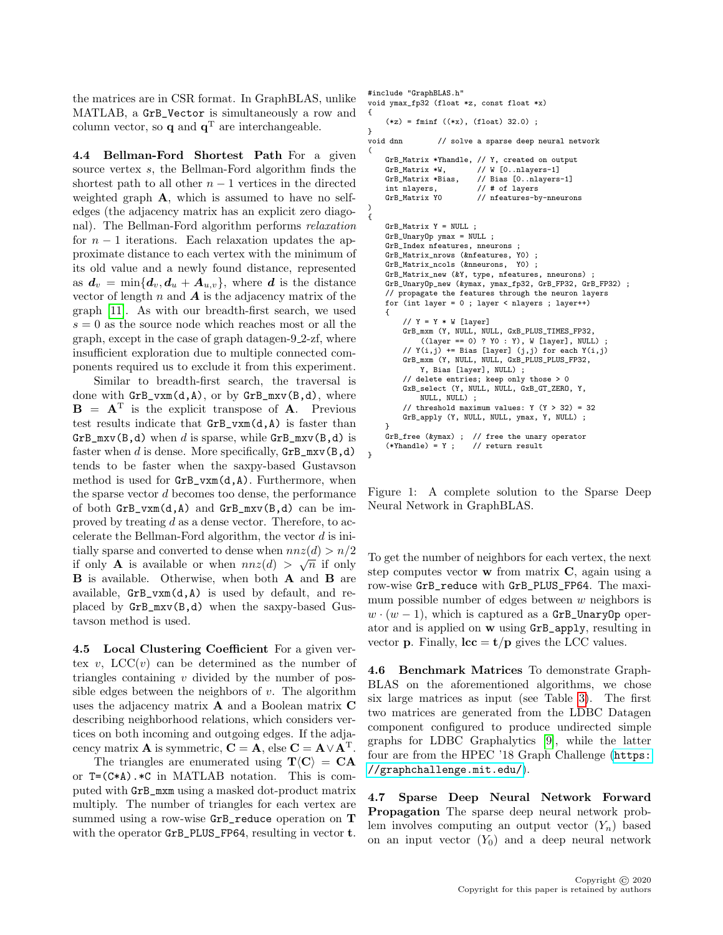the matrices are in CSR format. In GraphBLAS, unlike MATLAB, a GrB\_Vector is simultaneously a row and column vector, so **q** and  $\mathbf{q}^T$  are interchangeable.

4.4 Bellman-Ford Shortest Path For a given source vertex s, the Bellman-Ford algorithm finds the shortest path to all other  $n-1$  vertices in the directed weighted graph A, which is assumed to have no selfedges (the adjacency matrix has an explicit zero diagonal). The Bellman-Ford algorithm performs relaxation for  $n-1$  iterations. Each relaxation updates the approximate distance to each vertex with the minimum of its old value and a newly found distance, represented as  $d_v = \min\{d_v, d_u + A_{u,v}\}\$ , where d is the distance vector of length  $n$  and  $\boldsymbol{A}$  is the adjacency matrix of the graph [\[11\]](#page-10-1). As with our breadth-first search, we used  $s = 0$  as the source node which reaches most or all the graph, except in the case of graph datagen-9 2-zf, where insufficient exploration due to multiple connected components required us to exclude it from this experiment.

Similar to breadth-first search, the traversal is done with  $GrB_vxm(d,A)$ , or by  $GrB_mxv(B,d)$ , where  $\mathbf{B} = \mathbf{A}^{\mathrm{T}}$  is the explicit transpose of **A**. Previous test results indicate that GrB\_vxm(d,A) is faster than  $GrB_mxv(B,d)$  when d is sparse, while  $GrB_mxv(B,d)$  is faster when d is dense. More specifically,  $GrB_mxy(B,d)$ tends to be faster when the saxpy-based Gustavson method is used for GrB\_vxm(d,A). Furthermore, when the sparse vector d becomes too dense, the performance of both  $GrB_vxm(d, A)$  and  $GrB_mxv(B, d)$  can be improved by treating d as a dense vector. Therefore, to accelerate the Bellman-Ford algorithm, the vector  $d$  is initially sparse and converted to dense when  $nnz(d) > n/2$ if only **A** is available or when  $nnz(d) > \sqrt{n}$  if only B is available. Otherwise, when both A and B are available,  $GrB_vxm(d, A)$  is used by default, and replaced by GrB\_mxv(B,d) when the saxpy-based Gustavson method is used.

4.5 Local Clustering Coefficient For a given vertex v,  $LCC(v)$  can be determined as the number of triangles containing  $v$  divided by the number of possible edges between the neighbors of  $v$ . The algorithm uses the adjacency matrix A and a Boolean matrix C describing neighborhood relations, which considers vertices on both incoming and outgoing edges. If the adjacency matrix **A** is symmetric,  $C = A$ , else  $C = A \vee A^{T}$ .

The triangles are enumerated using  $T\langle C \rangle = CA$ or T=(C\*A).\*C in MATLAB notation. This is computed with GrB\_mxm using a masked dot-product matrix multiply. The number of triangles for each vertex are summed using a row-wise GrB\_reduce operation on T with the operator GrB\_PLUS\_FP64, resulting in vector **t**.

#include "GraphBLAS.h" void ymax fp32 (float \*z, const float \*x) {  $(*z) = fmin f ((*x), (float) 32.0)$ ; }<br>void dnn // solve a sparse deep neural network ( GrB\_Matrix \*Yhandle,  $//$  Y, created on output<br>GrB Matrix \*W.  $//$  W [0..nlavers-1] // W [0..nlayers-1] GrB\_Matrix \*Bias, // Bias [0..nlayers-1] int nlayers, // # of layers GrB\_Matrix Y0 // nfeatures-by-nneurons ) { GrB\_Matrix Y = NULL ; GrB\_UnaryOp ymax = NULL ; GrB\_Index nfeatures, nneurons ; GrB\_Matrix\_nrows (&nfeatures, Y0) ; GrB\_Matrix\_ncols (&nneurons, Y0) ; GrB\_Matrix\_new (&Y, type, nfeatures, nneurons) ; GrB\_UnaryOp\_new (&ymax, ymax\_fp32, GrB\_FP32, GrB\_FP32) ; // propagate the features through the neuron layers for (int layer = 0 ; layer < nlayers ; layer++) { // Y = Y \* W [layer] GrB\_mxm (Y, NULL, NULL, GxB\_PLUS\_TIMES\_FP32, ((layer == 0) ? Y0 : Y), W [layer], NULL) ; // Y(i,j) += Bias [layer] (j,j) for each Y(i,j) GrB\_mxm (Y, NULL, NULL, GxB\_PLUS\_PLUS\_FP32, Y, Bias [layer], NULL) ; // delete entries; keep only those > 0 GxB\_select (Y, NULL, NULL, GxB\_GT\_ZERO, Y, NULL, NULL) ; // threshold maximum values:  $Y (Y > 32) = 32$ GrB\_apply (Y, NULL, NULL, ymax, Y, NULL) ; } GrB\_free ( $\text{Gymax}$ ); // free the unary operator<br>(\*Yhandle) = Y : // return result

Figure 1: A complete solution to the Sparse Deep Neural Network in GraphBLAS.

<span id="page-8-0"></span> $//$  return result

}

To get the number of neighbors for each vertex, the next step computes vector  $\bf{w}$  from matrix  $\bf{C}$ , again using a row-wise GrB\_reduce with GrB\_PLUS\_FP64. The maximum possible number of edges between  $w$  neighbors is  $w \cdot (w-1)$ , which is captured as a GrB\_UnaryOp operator and is applied on w using GrB\_apply, resulting in vector **p**. Finally,  $\mathbf{lcc} = \mathbf{t}/\mathbf{p}$  gives the LCC values.

4.6 Benchmark Matrices To demonstrate Graph-BLAS on the aforementioned algorithms, we chose six large matrices as input (see Table [3\)](#page-9-0). The first two matrices are generated from the LDBC Datagen component configured to produce undirected simple graphs for LDBC Graphalytics [\[9\]](#page-10-12), while the latter four are from the HPEC '18 Graph Challenge ([https:](https://graphchallenge.mit.edu/) [//graphchallenge.mit.edu/](https://graphchallenge.mit.edu/)).

4.7 Sparse Deep Neural Network Forward Propagation The sparse deep neural network problem involves computing an output vector  $(Y_n)$  based on an input vector  $(Y_0)$  and a deep neural network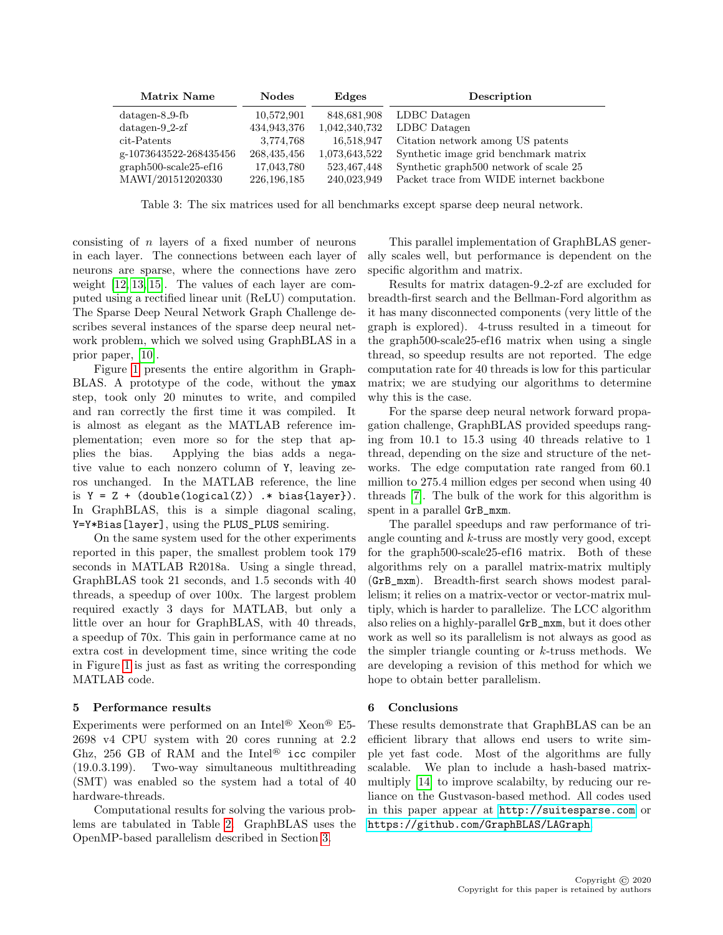| Matrix Name             | <b>Nodes</b>  | Edges         | Description                                        |
|-------------------------|---------------|---------------|----------------------------------------------------|
| $datagen-8.9-fb$        | 10,572,901    | 848,681,908   | LDBC Datagen                                       |
| $datagen-9.2-zf$        | 434,943,376   | 1,042,340,732 | LDBC Datagen                                       |
| cit-Patents             | 3,774,768     | 16,518,947    | Citation network among US patents                  |
| g-1073643522-268435456  | 268,435,456   | 1,073,643,522 | Synthetic image grid benchmark matrix              |
| $graph500-scale25-ef16$ | 17,043,780    | 523,467,448   | Synthetic graph <sup>500</sup> network of scale 25 |
| MAWI/201512020330       | 226, 196, 185 | 240,023,949   | Packet trace from WIDE internet backbone           |

<span id="page-9-0"></span>Table 3: The six matrices used for all benchmarks except sparse deep neural network.

consisting of n layers of a fixed number of neurons in each layer. The connections between each layer of neurons are sparse, where the connections have zero weight [\[12,](#page-10-13) [13,](#page-10-14) [15\]](#page-10-15). The values of each layer are computed using a rectified linear unit (ReLU) computation. The Sparse Deep Neural Network Graph Challenge describes several instances of the sparse deep neural network problem, which we solved using GraphBLAS in a prior paper, [\[10\]](#page-10-2).

Figure [1](#page-8-0) presents the entire algorithm in Graph-BLAS. A prototype of the code, without the ymax step, took only 20 minutes to write, and compiled and ran correctly the first time it was compiled. It is almost as elegant as the MATLAB reference implementation; even more so for the step that applies the bias. Applying the bias adds a negative value to each nonzero column of Y, leaving zeros unchanged. In the MATLAB reference, the line is  $Y = Z + (double(logical(Z)) + bias(layer)).$ In GraphBLAS, this is a simple diagonal scaling, Y=Y\*Bias[layer], using the PLUS\_PLUS semiring.

On the same system used for the other experiments reported in this paper, the smallest problem took 179 seconds in MATLAB R2018a. Using a single thread, GraphBLAS took 21 seconds, and 1.5 seconds with 40 threads, a speedup of over 100x. The largest problem required exactly 3 days for MATLAB, but only a little over an hour for GraphBLAS, with 40 threads, a speedup of 70x. This gain in performance came at no extra cost in development time, since writing the code in Figure [1](#page-8-0) is just as fast as writing the corresponding MATLAB code.

### 5 Performance results

Experiments were performed on an Intel® Xeon® E5- 2698 v4 CPU system with 20 cores running at 2.2 Ghz, 256 GB of RAM and the Intel<sup>®</sup> icc compiler (19.0.3.199). Two-way simultaneous multithreading (SMT) was enabled so the system had a total of 40 hardware-threads.

Computational results for solving the various problems are tabulated in Table [2.](#page-7-0) GraphBLAS uses the OpenMP-based parallelism described in Section [3.](#page-2-0)

This parallel implementation of GraphBLAS generally scales well, but performance is dependent on the specific algorithm and matrix.

Results for matrix datagen-9 2-zf are excluded for breadth-first search and the Bellman-Ford algorithm as it has many disconnected components (very little of the graph is explored). 4-truss resulted in a timeout for the graph500-scale25-ef16 matrix when using a single thread, so speedup results are not reported. The edge computation rate for 40 threads is low for this particular matrix; we are studying our algorithms to determine why this is the case.

For the sparse deep neural network forward propagation challenge, GraphBLAS provided speedups ranging from 10.1 to 15.3 using 40 threads relative to 1 thread, depending on the size and structure of the networks. The edge computation rate ranged from 60.1 million to 275.4 million edges per second when using 40 threads [\[7\]](#page-10-7). The bulk of the work for this algorithm is spent in a parallel GrB\_mxm.

The parallel speedups and raw performance of triangle counting and  $k$ -truss are mostly very good, except for the graph500-scale25-ef16 matrix. Both of these algorithms rely on a parallel matrix-matrix multiply (GrB\_mxm). Breadth-first search shows modest parallelism; it relies on a matrix-vector or vector-matrix multiply, which is harder to parallelize. The LCC algorithm also relies on a highly-parallel GrB\_mxm, but it does other work as well so its parallelism is not always as good as the simpler triangle counting or  $k$ -truss methods. We are developing a revision of this method for which we hope to obtain better parallelism.

#### 6 Conclusions

These results demonstrate that GraphBLAS can be an efficient library that allows end users to write simple yet fast code. Most of the algorithms are fully scalable. We plan to include a hash-based matrixmultiply [\[14\]](#page-10-16) to improve scalabilty, by reducing our reliance on the Gustvason-based method. All codes used in this paper appear at <http://suitesparse.com> or <https://github.com/GraphBLAS/LAGraph>.